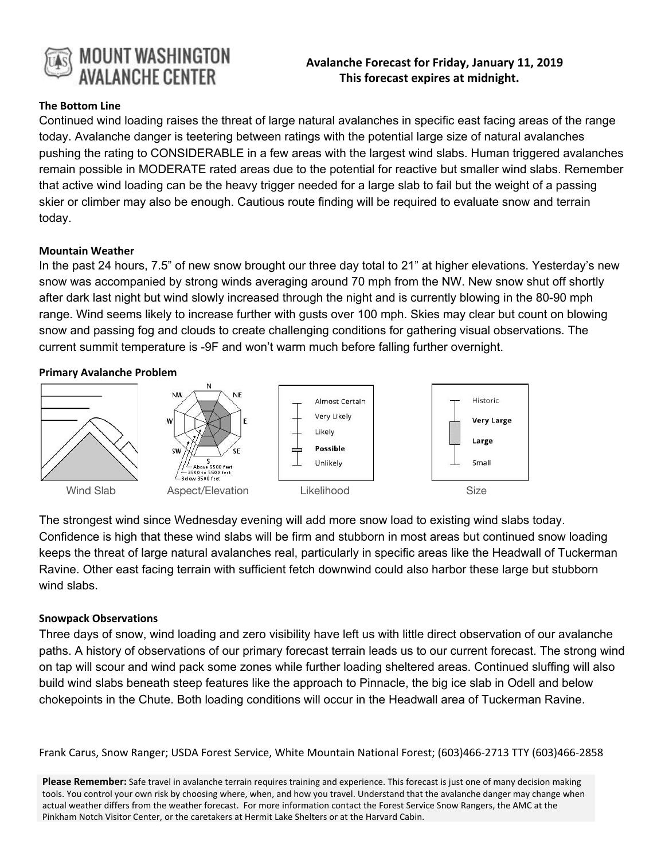

# **Avalanche Forecast for Friday, January 11, 2019 This forecast expires at midnight.**

## **The Bottom Line**

Continued wind loading raises the threat of large natural avalanches in specific east facing areas of the range today. Avalanche danger is teetering between ratings with the potential large size of natural avalanches pushing the rating to CONSIDERABLE in a few areas with the largest wind slabs. Human triggered avalanches remain possible in MODERATE rated areas due to the potential for reactive but smaller wind slabs. Remember that active wind loading can be the heavy trigger needed for a large slab to fail but the weight of a passing skier or climber may also be enough. Cautious route finding will be required to evaluate snow and terrain today.

#### **Mountain Weather**

In the past 24 hours, 7.5" of new snow brought our three day total to 21" at higher elevations. Yesterday's new snow was accompanied by strong winds averaging around 70 mph from the NW. New snow shut off shortly after dark last night but wind slowly increased through the night and is currently blowing in the 80-90 mph range. Wind seems likely to increase further with gusts over 100 mph. Skies may clear but count on blowing snow and passing fog and clouds to create challenging conditions for gathering visual observations. The current summit temperature is -9F and won't warm much before falling further overnight.

#### **Primary Avalanche Problem**



The strongest wind since Wednesday evening will add more snow load to existing wind slabs today. Confidence is high that these wind slabs will be firm and stubborn in most areas but continued snow loading keeps the threat of large natural avalanches real, particularly in specific areas like the Headwall of Tuckerman Ravine. Other east facing terrain with sufficient fetch downwind could also harbor these large but stubborn wind slabs.

### **Snowpack Observations**

Three days of snow, wind loading and zero visibility have left us with little direct observation of our avalanche paths. A history of observations of our primary forecast terrain leads us to our current forecast. The strong wind on tap will scour and wind pack some zones while further loading sheltered areas. Continued sluffing will also build wind slabs beneath steep features like the approach to Pinnacle, the big ice slab in Odell and below chokepoints in the Chute. Both loading conditions will occur in the Headwall area of Tuckerman Ravine.

Frank Carus, Snow Ranger; USDA Forest Service, White Mountain National Forest; (603)466-2713 TTY (603)466-2858

**Please Remember:** Safe travel in avalanche terrain requires training and experience. This forecast is just one of many decision making tools. You control your own risk by choosing where, when, and how you travel. Understand that the avalanche danger may change when actual weather differs from the weather forecast. For more information contact the Forest Service Snow Rangers, the AMC at the Pinkham Notch Visitor Center, or the caretakers at Hermit Lake Shelters or at the Harvard Cabin.